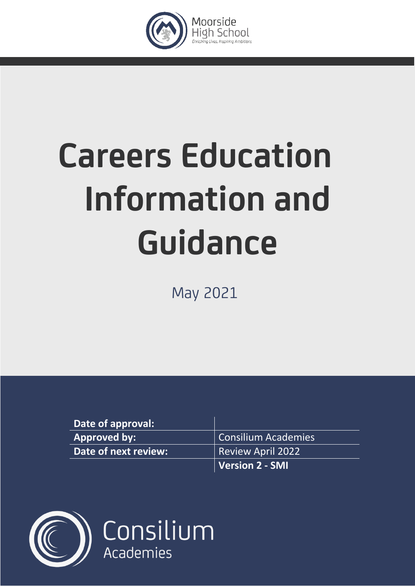

# **Careers Education Information and Guidance**

May 2021

| Date of approval:    |                          |
|----------------------|--------------------------|
| <b>Approved by:</b>  | Consilium Academies      |
| Date of next review: | <b>Review April 2022</b> |
|                      | Version 2 - SMI          |

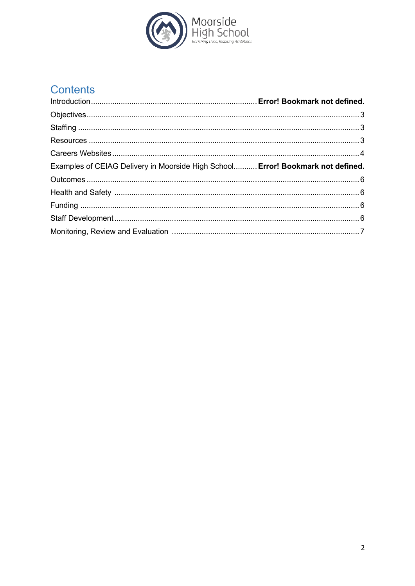

# Contents

| Examples of CEIAG Delivery in Moorside High School Error! Bookmark not defined. |  |
|---------------------------------------------------------------------------------|--|
|                                                                                 |  |
|                                                                                 |  |
|                                                                                 |  |
|                                                                                 |  |
|                                                                                 |  |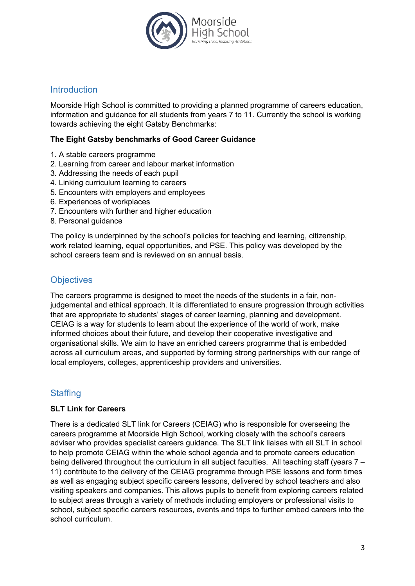

#### Introduction

Moorside High School is committed to providing a planned programme of careers education, information and guidance for all students from years 7 to 11. Currently the school is working towards achieving the eight Gatsby Benchmarks:

#### **The Eight Gatsby benchmarks of Good Career Guidance**

- 1. A stable careers programme
- 2. Learning from career and labour market information
- 3. Addressing the needs of each pupil
- 4. Linking curriculum learning to careers
- 5. Encounters with employers and employees
- 6. Experiences of workplaces
- 7. Encounters with further and higher education
- 8. Personal guidance

The policy is underpinned by the school's policies for teaching and learning, citizenship, work related learning, equal opportunities, and PSE. This policy was developed by the school careers team and is reviewed on an annual basis.

#### **Objectives**

The careers programme is designed to meet the needs of the students in a fair, nonjudgemental and ethical approach. It is differentiated to ensure progression through activities that are appropriate to students' stages of career learning, planning and development. CEIAG is a way for students to learn about the experience of the world of work, make informed choices about their future, and develop their cooperative investigative and organisational skills. We aim to have an enriched careers programme that is embedded across all curriculum areas, and supported by forming strong partnerships with our range of local employers, colleges, apprenticeship providers and universities.

### **Staffing**

#### **SLT Link for Careers**

There is a dedicated SLT link for Careers (CEIAG) who is responsible for overseeing the careers programme at Moorside High School, working closely with the school's careers adviser who provides specialist careers guidance. The SLT link liaises with all SLT in school to help promote CEIAG within the whole school agenda and to promote careers education being delivered throughout the curriculum in all subject faculties. All teaching staff (years 7 – 11) contribute to the delivery of the CEIAG programme through PSE lessons and form times as well as engaging subject specific careers lessons, delivered by school teachers and also visiting speakers and companies. This allows pupils to benefit from exploring careers related to subject areas through a variety of methods including employers or professional visits to school, subject specific careers resources, events and trips to further embed careers into the school curriculum.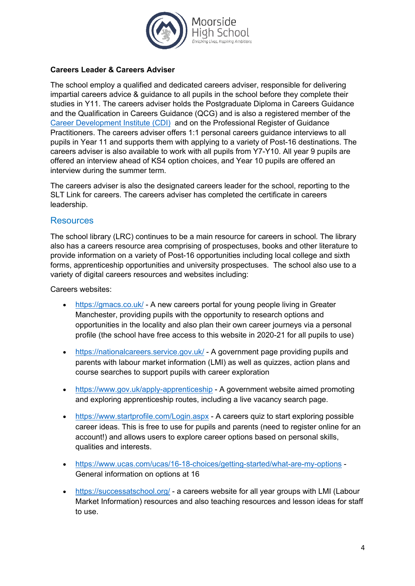

#### **Careers Leader & Careers Adviser**

The school employ a qualified and dedicated careers adviser, responsible for delivering impartial careers advice & guidance to all pupils in the school before they complete their studies in Y11. The careers adviser holds the Postgraduate Diploma in Careers Guidance and the Qualification in Careers Guidance (QCG) and is also a registered member of the Career Development Institute (CDI) and on the Professional Register of Guidance Practitioners. The careers adviser offers 1:1 personal careers guidance interviews to all pupils in Year 11 and supports them with applying to a variety of Post-16 destinations. The careers adviser is also available to work with all pupils from Y7-Y10. All year 9 pupils are offered an interview ahead of KS4 option choices, and Year 10 pupils are offered an interview during the summer term.

The careers adviser is also the designated careers leader for the school, reporting to the SLT Link for careers. The careers adviser has completed the certificate in careers leadership.

#### **Resources**

The school library (LRC) continues to be a main resource for careers in school. The library also has a careers resource area comprising of prospectuses, books and other literature to provide information on a variety of Post-16 opportunities including local college and sixth forms, apprenticeship opportunities and university prospectuses. The school also use to a variety of digital careers resources and websites including:

Careers websites:

- https://gmacs.co.uk/ A new careers portal for young people living in Greater Manchester, providing pupils with the opportunity to research options and opportunities in the locality and also plan their own career journeys via a personal profile (the school have free access to this website in 2020-21 for all pupils to use)
- https://nationalcareers.service.gov.uk/ A government page providing pupils and parents with labour market information (LMI) as well as quizzes, action plans and course searches to support pupils with career exploration
- https://www.gov.uk/apply-apprenticeship A government website aimed promoting and exploring apprenticeship routes, including a live vacancy search page.
- https://www.startprofile.com/Login.aspx A careers quiz to start exploring possible career ideas. This is free to use for pupils and parents (need to register online for an account!) and allows users to explore career options based on personal skills, qualities and interests.
- https://www.ucas.com/ucas/16-18-choices/getting-started/what-are-my-options General information on options at 16
- https://successatschool.org/ a careers website for all year groups with LMI (Labour Market Information) resources and also teaching resources and lesson ideas for staff to use.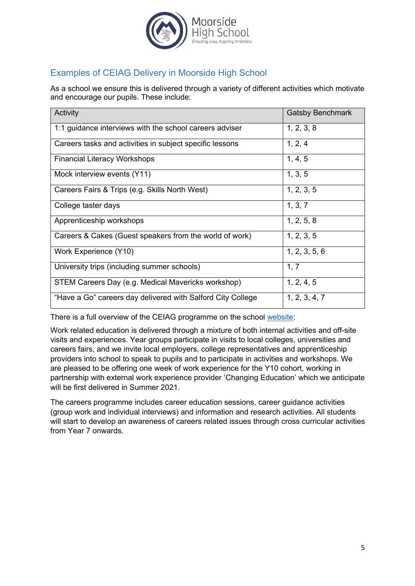

# Examples of CEIAG Delivery in Moorside High School

As a school we ensure this is delivered through a variety of different activities which motivate and encourage our pupils. These include:

| Activity                                                    | <b>Gatsby Benchmark</b> |
|-------------------------------------------------------------|-------------------------|
| 1:1 guidance interviews with the school careers adviser     | 1, 2, 3, 8              |
| Careers tasks and activities in subject specific lessons    | 1, 2, 4                 |
| <b>Financial Literacy Workshops</b>                         | 1, 4, 5                 |
| Mock interview events (Y11)                                 | 1, 3, 5                 |
| Careers Fairs & Trips (e.g. Skills North West)              | 1, 2, 3, 5              |
| College taster days                                         | 1, 3, 7                 |
| Apprenticeship workshops                                    | 1, 2, 5, 8              |
| Careers & Cakes (Guest speakers from the world of work)     | 1, 2, 3, 5              |
| Work Experience (Y10)                                       | 1, 2, 3, 5, 6           |
| University trips (including summer schools)                 | 1, 7                    |
| STEM Careers Day (e.g. Medical Mavericks workshop)          | 1, 2, 4, 5              |
| "Have a Go" careers day delivered with Salford City College | 1, 2, 3, 4, 7           |

There is a full overview of the CEIAG programme on the school website:

Work related education is delivered through a mixture of both internal activities and off-site visits and experiences. Year groups participate in visits to local colleges, universities and careers fairs, and we invite local employers, college representatives and apprenticeship providers into school to speak to pupils and to participate in activities and workshops. We are pleased to be offering one week of work experience for the Y10 cohort, working in partnership with external work experience provider 'Changing Education' which we anticipate will be first delivered in Summer 2021

The careers programme includes career education sessions, career guidance activities (group work and individual interviews) and information and research activities. All students will start to develop an awareness of careers related issues through cross curricular activities from Year 7 onwards.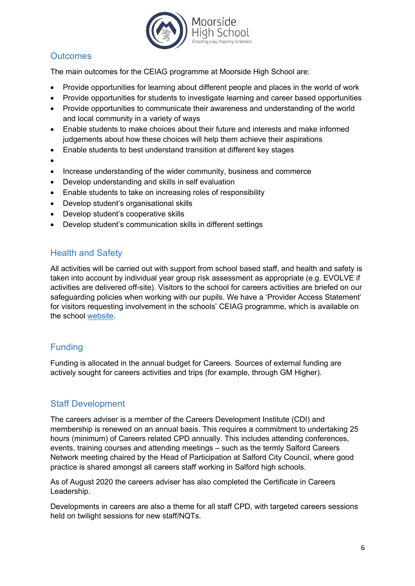

# **Outcomes**

The main outcomes for the CEIAG programme at Moorside High School are:

- Provide opportunities for learning about different people and places in the world of work
- Provide opportunities for students to investigate learning and career based opportunities
- Provide opportunities to communicate their awareness and understanding of the world and local community in a variety of ways
- Enable students to make choices about their future and interests and make informed judgements about how these choices will help them achieve their aspirations
- Enable students to best understand transition at different key stages
- •
- Increase understanding of the wider community, business and commerce
- Develop understanding and skills in self evaluation
- Enable students to take on increasing roles of responsibility
- Develop student's organisational skills
- Develop student's cooperative skills
- Develop student's communication skills in different settings

## Health and Safety

All activities will be carried out with support from school based staff, and health and safety is taken into account by individual year group risk assessment as appropriate (e.g. EVOLVE if activities are delivered off-site). Visitors to the school for careers activities are briefed on our safeguarding policies when working with our pupils. We have a 'Provider Access Statement' for visitors requesting involvement in the schools' CEIAG programme, which is available on the school website.

# Funding

Funding is allocated in the annual budget for Careers. Sources of external funding are actively sought for careers activities and trips (for example, through GM Higher).

# Staff Development

The careers adviser is a member of the Careers Development Institute (CDI) and membership is renewed on an annual basis. This requires a commitment to undertaking 25 hours (minimum) of Careers related CPD annually. This includes attending conferences, events, training courses and attending meetings – such as the termly Salford Careers Network meeting chaired by the Head of Participation at Salford City Council, where good practice is shared amongst all careers staff working in Salford high schools.

As of August 2020 the careers adviser has also completed the Certificate in Careers Leadership.

Developments in careers are also a theme for all staff CPD, with targeted careers sessions held on twilight sessions for new staff/NQTs.